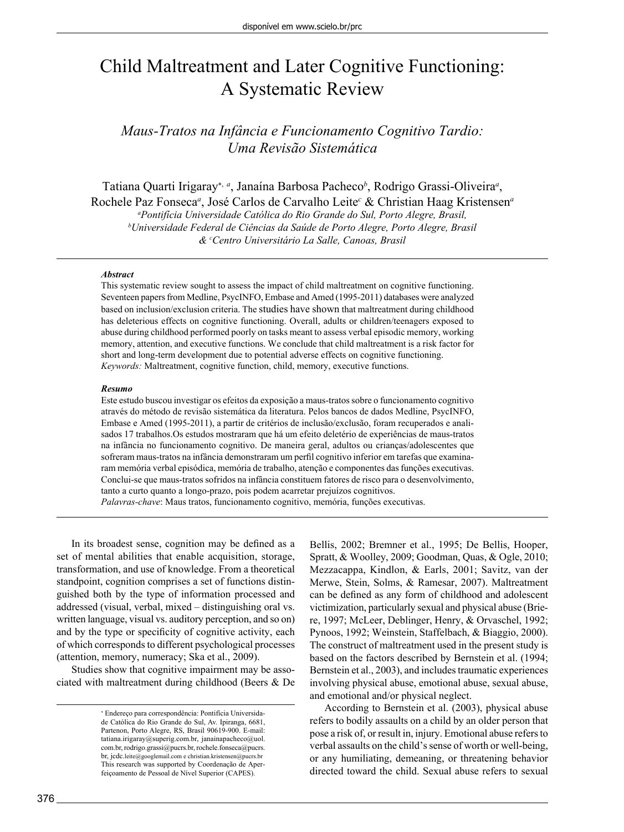# Child Maltreatment and Later Cognitive Functioning: A Systematic Review

## *Maus-Tratos na Infância e Funcionamento Cognitivo Tardio: Uma Revisão Sistemática*

Tatiana Quarti Irigaray<sup>\*, a</sup>, Janaína Barbosa Pacheco<sup>b</sup>, Rodrigo Grassi-Oliveira<sup>a</sup>, Rochele Paz Fonseca<sup>a</sup>, José Carlos de Carvalho Leite<sup>c</sup> & Christian Haag Kristensen<sup>a</sup> *a Pontifícia Universidade Católica do Rio Grande do Sul, Porto Alegre, Brasil, b Universidade Federal de Ciências da Saúde de Porto Alegre, Porto Alegre, Brasil & c Centro Universitário La Salle, Canoas, Brasil*

#### *Abstract*

This systematic review sought to assess the impact of child maltreatment on cognitive functioning. Seventeen papers from Medline, PsycINFO, Embase and Amed (1995-2011) databases were analyzed based on inclusion/exclusion criteria. The studies have shown that maltreatment during childhood has deleterious effects on cognitive functioning. Overall, adults or children/teenagers exposed to abuse during childhood performed poorly on tasks meant to assess verbal episodic memory, working memory, attention, and executive functions. We conclude that child maltreatment is a risk factor for short and long-term development due to potential adverse effects on cognitive functioning. *Keywords:* Maltreatment, cognitive function, child, memory, executive functions.

#### *Resumo*

Este estudo buscou investigar os efeitos da exposição a maus-tratos sobre o funcionamento cognitivo através do método de revisão sistemática da literatura. Pelos bancos de dados Medline, PsycINFO, Embase e Amed (1995-2011), a partir de critérios de inclusão/exclusão, foram recuperados e analisados 17 trabalhos.Os estudos mostraram que há um efeito deletério de experiências de maus-tratos na infância no funcionamento cognitivo. De maneira geral, adultos ou crianças/adolescentes que sofreram maus-tratos na infância demonstraram um perfi l cognitivo inferior em tarefas que examinaram memória verbal episódica, memória de trabalho, atenção e componentes das funções executivas. Conclui-se que maus-tratos sofridos na infância constituem fatores de risco para o desenvolvimento, tanto a curto quanto a longo-prazo, pois podem acarretar prejuízos cognitivos.

*Palavras-chave*: Maus tratos, funcionamento cognitivo, memória, funções executivas.

In its broadest sense, cognition may be defined as a set of mental abilities that enable acquisition, storage, transformation, and use of knowledge. From a theoretical standpoint, cognition comprises a set of functions distinguished both by the type of information processed and addressed (visual, verbal, mixed – distinguishing oral vs. written language, visual vs. auditory perception, and so on) and by the type or specificity of cognitive activity, each of which corresponds to different psychological processes (attention, memory, numeracy; Ska et al., 2009).

Studies show that cognitive impairment may be associated with maltreatment during childhood (Beers & De Bellis, 2002; Bremner et al., 1995; De Bellis, Hooper, Spratt, & Woolley, 2009; Goodman, Quas, & Ogle, 2010; Mezzacappa, Kindlon, & Earls, 2001; Savitz, van der Merwe, Stein, Solms, & Ramesar, 2007). Maltreatment can be defined as any form of childhood and adolescent victimization, particularly sexual and physical abuse (Briere, 1997; McLeer, Deblinger, Henry, & Orvaschel, 1992; Pynoos, 1992; Weinstein, Staffelbach, & Biaggio, 2000). The construct of maltreatment used in the present study is based on the factors described by Bernstein et al. (1994; Bernstein et al., 2003), and includes traumatic experiences involving physical abuse, emotional abuse, sexual abuse, and emotional and/or physical neglect.

According to Bernstein et al. (2003), physical abuse refers to bodily assaults on a child by an older person that pose a risk of, or result in, injury. Emotional abuse refers to verbal assaults on the child's sense of worth or well-being, or any humiliating, demeaning, or threatening behavior directed toward the child. Sexual abuse refers to sexual

 Endereço para correspondência: Pontifícia Universidade Católica do Rio Grande do Sul, Av. Ipiranga, 6681, Partenon, Porto Alegre, RS, Brasil 90619-900. E-mail: tatiana.irigaray@superig.com.br, janainapacheco@uol. com.br, rodrigo.grassi@pucrs.br, rochele.fonseca@pucrs. br, jcdc.leite@googlemail.com e christian.kristensen@pucrs.br This research was supported by Coordenação de Aperfeiçoamento de Pessoal de Nível Superior (CAPES).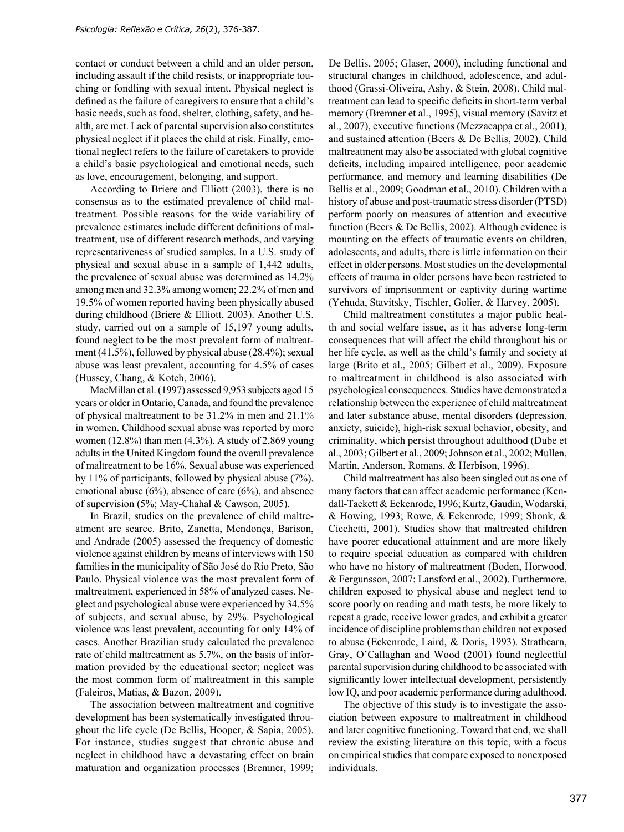contact or conduct between a child and an older person, including assault if the child resists, or inappropriate touching or fondling with sexual intent. Physical neglect is defined as the failure of caregivers to ensure that a child's basic needs, such as food, shelter, clothing, safety, and health, are met. Lack of parental supervision also constitutes physical neglect if it places the child at risk. Finally, emotional neglect refers to the failure of caretakers to provide a child's basic psychological and emotional needs, such as love, encouragement, belonging, and support.

According to Briere and Elliott (2003), there is no consensus as to the estimated prevalence of child maltreatment. Possible reasons for the wide variability of prevalence estimates include different definitions of maltreatment, use of different research methods, and varying representativeness of studied samples. In a U.S. study of physical and sexual abuse in a sample of 1,442 adults, the prevalence of sexual abuse was determined as 14.2% among men and 32.3% among women; 22.2% of men and 19.5% of women reported having been physically abused during childhood (Briere & Elliott, 2003). Another U.S. study, carried out on a sample of 15,197 young adults, found neglect to be the most prevalent form of maltreatment (41.5%), followed by physical abuse (28.4%); sexual abuse was least prevalent, accounting for 4.5% of cases (Hussey, Chang, & Kotch, 2006).

MacMillan et al. (1997) assessed 9,953 subjects aged 15 years or older in Ontario, Canada, and found the prevalence of physical maltreatment to be 31.2% in men and 21.1% in women. Childhood sexual abuse was reported by more women  $(12.8\%)$  than men  $(4.3\%)$ . A study of 2,869 young adults in the United Kingdom found the overall prevalence of maltreatment to be 16%. Sexual abuse was experienced by 11% of participants, followed by physical abuse (7%), emotional abuse  $(6\%)$ , absence of care  $(6\%)$ , and absence of supervision (5%; May-Chahal & Cawson, 2005).

In Brazil, studies on the prevalence of child maltreatment are scarce. Brito, Zanetta, Mendonça, Barison, and Andrade (2005) assessed the frequency of domestic violence against children by means of interviews with 150 families in the municipality of São José do Rio Preto, São Paulo. Physical violence was the most prevalent form of maltreatment, experienced in 58% of analyzed cases. Neglect and psychological abuse were experienced by 34.5% of subjects, and sexual abuse, by 29%. Psychological violence was least prevalent, accounting for only 14% of cases. Another Brazilian study calculated the prevalence rate of child maltreatment as 5.7%, on the basis of information provided by the educational sector; neglect was the most common form of maltreatment in this sample (Faleiros, Matias, & Bazon, 2009).

The association between maltreatment and cognitive development has been systematically investigated throughout the life cycle (De Bellis, Hooper, & Sapia, 2005). For instance, studies suggest that chronic abuse and neglect in childhood have a devastating effect on brain maturation and organization processes (Bremner, 1999; De Bellis, 2005; Glaser, 2000), including functional and structural changes in childhood, adolescence, and adulthood (Grassi-Oliveira, Ashy, & Stein, 2008). Child maltreatment can lead to specific deficits in short-term verbal memory (Bremner et al., 1995), visual memory (Savitz et al., 2007), executive functions (Mezzacappa et al., 2001), and sustained attention (Beers & De Bellis, 2002). Child maltreatment may also be associated with global cognitive deficits, including impaired intelligence, poor academic performance, and memory and learning disabilities (De Bellis et al., 2009; Goodman et al., 2010). Children with a history of abuse and post-traumatic stress disorder (PTSD) perform poorly on measures of attention and executive function (Beers & De Bellis, 2002). Although evidence is mounting on the effects of traumatic events on children, adolescents, and adults, there is little information on their effect in older persons. Most studies on the developmental effects of trauma in older persons have been restricted to survivors of imprisonment or captivity during wartime (Yehuda, Stavitsky, Tischler, Golier, & Harvey, 2005).

Child maltreatment constitutes a major public health and social welfare issue, as it has adverse long-term consequences that will affect the child throughout his or her life cycle, as well as the child's family and society at large (Brito et al., 2005; Gilbert et al., 2009). Exposure to maltreatment in childhood is also associated with psychological consequences. Studies have demonstrated a relationship between the experience of child maltreatment and later substance abuse, mental disorders (depression, anxiety, suicide), high-risk sexual behavior, obesity, and criminality, which persist throughout adulthood (Dube et al., 2003; Gilbert et al., 2009; Johnson et al., 2002; Mullen, Martin, Anderson, Romans, & Herbison, 1996).

Child maltreatment has also been singled out as one of many factors that can affect academic performance (Kendall-Tackett & Eckenrode, 1996; Kurtz, Gaudin, Wodarski, & Howing, 1993; Rowe, & Eckenrode, 1999; Shonk, & Cicchetti, 2001). Studies show that maltreated children have poorer educational attainment and are more likely to require special education as compared with children who have no history of maltreatment (Boden, Horwood, & Fergunsson, 2007; Lansford et al., 2002). Furthermore, children exposed to physical abuse and neglect tend to score poorly on reading and math tests, be more likely to repeat a grade, receive lower grades, and exhibit a greater incidence of discipline problems than children not exposed to abuse (Eckenrode, Laird, & Doris, 1993). Strathearn, Gray, O'Callaghan and Wood (2001) found neglectful parental supervision during childhood to be associated with significantly lower intellectual development, persistently low IQ, and poor academic performance during adulthood.

The objective of this study is to investigate the association between exposure to maltreatment in childhood and later cognitive functioning. Toward that end, we shall review the existing literature on this topic, with a focus on empirical studies that compare exposed to nonexposed individuals.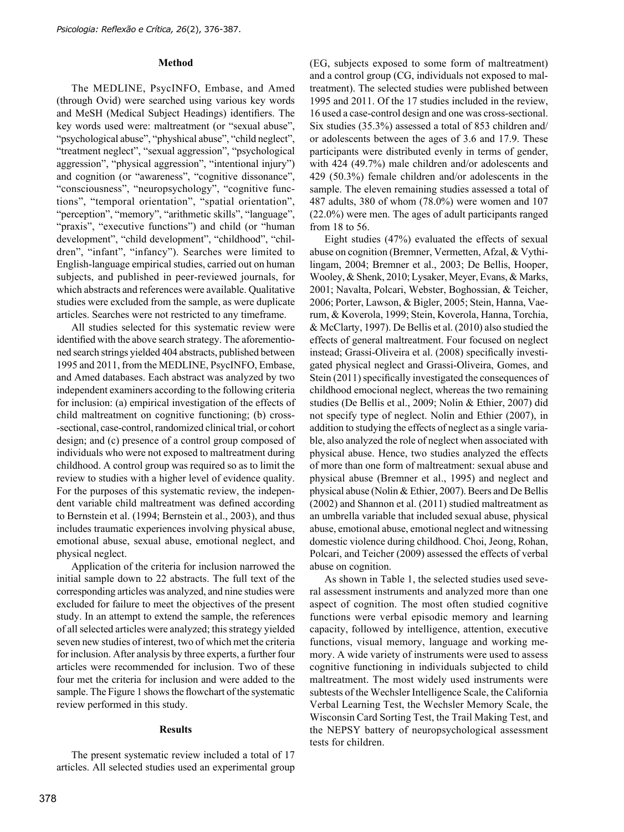#### **Method**

The MEDLINE, PsycINFO, Embase, and Amed (through Ovid) were searched using various key words and MeSH (Medical Subject Headings) identifiers. The key words used were: maltreatment (or "sexual abuse", "psychological abuse", "physhical abuse", "child neglect", "treatment neglect", "sexual aggression", "psychological aggression", "physical aggression", "intentional injury") and cognition (or "awareness", "cognitive dissonance", "consciousness", "neuropsychology", "cognitive functions", "temporal orientation", "spatial orientation", "perception", "memory", "arithmetic skills", "language", "praxis", "executive functions") and child (or "human development", "child development", "childhood", "children", "infant", "infancy"). Searches were limited to English-language empirical studies, carried out on human subjects, and published in peer-reviewed journals, for which abstracts and references were available. Qualitative studies were excluded from the sample, as were duplicate articles. Searches were not restricted to any timeframe.

All studies selected for this systematic review were identified with the above search strategy. The aforementioned search strings yielded 404 abstracts, published between 1995 and 2011, from the MEDLINE, PsycINFO, Embase, and Amed databases. Each abstract was analyzed by two independent examiners according to the following criteria for inclusion: (a) empirical investigation of the effects of child maltreatment on cognitive functioning; (b) cross- -sectional, case-control, randomized clinical trial, or cohort design; and (c) presence of a control group composed of individuals who were not exposed to maltreatment during childhood. A control group was required so as to limit the review to studies with a higher level of evidence quality. For the purposes of this systematic review, the independent variable child maltreatment was defined according to Bernstein et al. (1994; Bernstein et al., 2003), and thus includes traumatic experiences involving physical abuse, emotional abuse, sexual abuse, emotional neglect, and physical neglect.

Application of the criteria for inclusion narrowed the initial sample down to 22 abstracts. The full text of the corresponding articles was analyzed, and nine studies were excluded for failure to meet the objectives of the present study. In an attempt to extend the sample, the references of all selected articles were analyzed; this strategy yielded seven new studies of interest, two of which met the criteria for inclusion. After analysis by three experts, a further four articles were recommended for inclusion. Two of these four met the criteria for inclusion and were added to the sample. The Figure 1 shows the flowchart of the systematic review performed in this study.

#### **Results**

The present systematic review included a total of 17 articles. All selected studies used an experimental group

(EG, subjects exposed to some form of maltreatment) and a control group (CG, individuals not exposed to maltreatment). The selected studies were published between 1995 and 2011. Of the 17 studies included in the review, 16 used a case-control design and one was cross-sectional. Six studies (35.3%) assessed a total of 853 children and/ or adolescents between the ages of 3.6 and 17.9. These participants were distributed evenly in terms of gender, with 424 (49.7%) male children and/or adolescents and 429 (50.3%) female children and/or adolescents in the sample. The eleven remaining studies assessed a total of 487 adults, 380 of whom (78.0%) were women and 107 (22.0%) were men. The ages of adult participants ranged from 18 to 56.

Eight studies (47%) evaluated the effects of sexual abuse on cognition (Bremner, Vermetten, Afzal, & Vythilingam, 2004; Bremner et al., 2003; De Bellis, Hooper, Wooley, & Shenk, 2010; Lysaker, Meyer, Evans, & Marks, 2001; Navalta, Polcari, Webster, Boghossian, & Teicher, 2006; Porter, Lawson, & Bigler, 2005; Stein, Hanna, Vaerum, & Koverola, 1999; Stein, Koverola, Hanna, Torchia, & McClarty, 1997). De Bellis et al. (2010) also studied the effects of general maltreatment. Four focused on neglect instead; Grassi-Oliveira et al. (2008) specifically investigated physical neglect and Grassi-Oliveira, Gomes, and Stein (2011) specifically investigated the consequences of childhood emocional neglect, whereas the two remaining studies (De Bellis et al., 2009; Nolin & Ethier, 2007) did not specify type of neglect. Nolin and Ethier (2007), in addition to studying the effects of neglect as a single variable, also analyzed the role of neglect when associated with physical abuse. Hence, two studies analyzed the effects of more than one form of maltreatment: sexual abuse and physical abuse (Bremner et al., 1995) and neglect and physical abuse (Nolin & Ethier, 2007). Beers and De Bellis (2002) and Shannon et al. (2011) studied maltreatment as an umbrella variable that included sexual abuse, physical abuse, emotional abuse, emotional neglect and witnessing domestic violence during childhood. Choi, Jeong, Rohan, Polcari, and Teicher (2009) assessed the effects of verbal abuse on cognition.

As shown in Table 1, the selected studies used several assessment instruments and analyzed more than one aspect of cognition. The most often studied cognitive functions were verbal episodic memory and learning capacity, followed by intelligence, attention, executive functions, visual memory, language and working memory. A wide variety of instruments were used to assess cognitive functioning in individuals subjected to child maltreatment. The most widely used instruments were subtests of the Wechsler Intelligence Scale, the California Verbal Learning Test, the Wechsler Memory Scale, the Wisconsin Card Sorting Test, the Trail Making Test, and the NEPSY battery of neuropsychological assessment tests for children.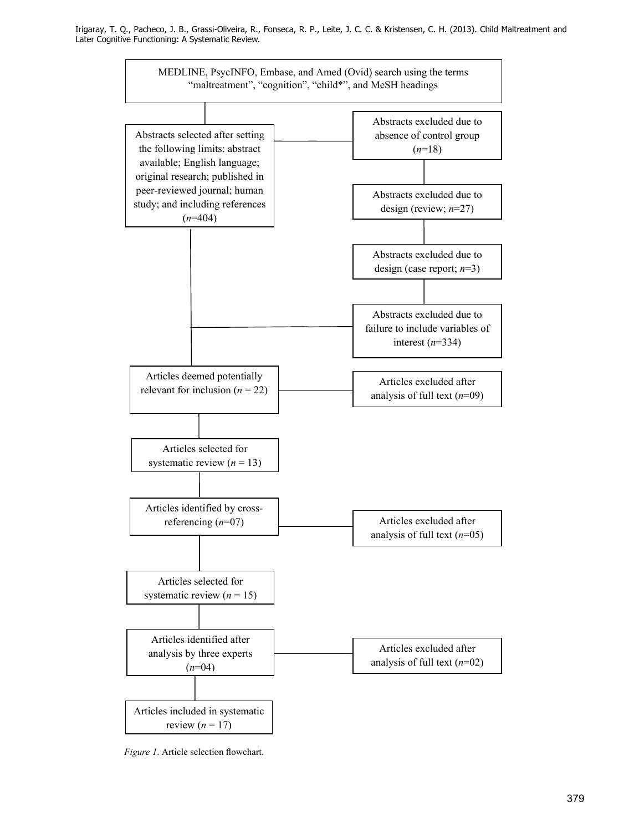

*Figure 1*. Article selection flowchart.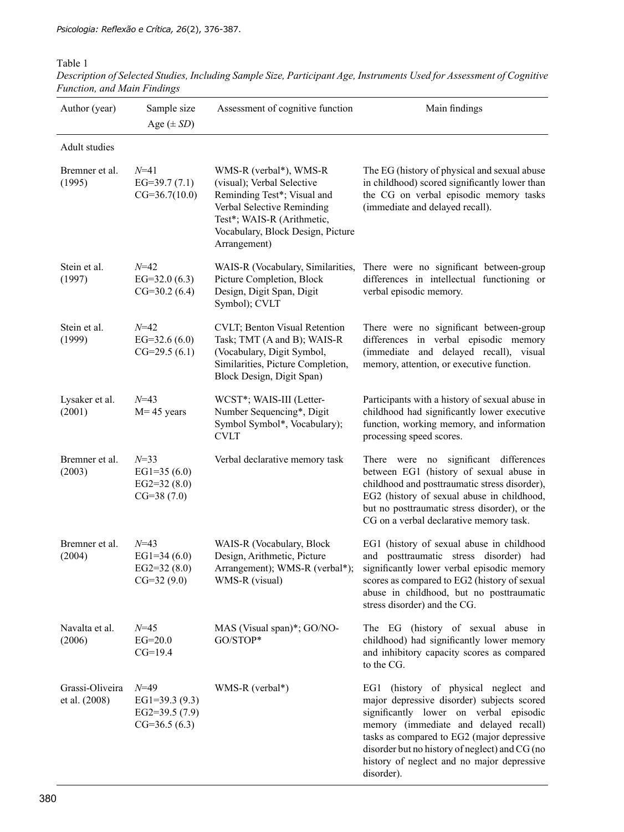### Table 1

| Author (year)                    | Sample size<br>Age $(\pm SD)$                                      | Assessment of cognitive function                                                                                                                                                                     | Main findings                                                                                                                                                                                                                                                                                                                     |
|----------------------------------|--------------------------------------------------------------------|------------------------------------------------------------------------------------------------------------------------------------------------------------------------------------------------------|-----------------------------------------------------------------------------------------------------------------------------------------------------------------------------------------------------------------------------------------------------------------------------------------------------------------------------------|
| Adult studies                    |                                                                    |                                                                                                                                                                                                      |                                                                                                                                                                                                                                                                                                                                   |
| Bremner et al.<br>(1995)         | $N = 41$<br>EG=39.7 $(7.1)$<br>$CG=36.7(10.0)$                     | WMS-R (verbal*), WMS-R<br>(visual); Verbal Selective<br>Reminding Test*; Visual and<br>Verbal Selective Reminding<br>Test*; WAIS-R (Arithmetic,<br>Vocabulary, Block Design, Picture<br>Arrangement) | The EG (history of physical and sexual abuse<br>in childhood) scored significantly lower than<br>the CG on verbal episodic memory tasks<br>(immediate and delayed recall).                                                                                                                                                        |
| Stein et al.<br>(1997)           | $N = 42$<br>EG=32.0 $(6.3)$<br>$CG=30.2(6.4)$                      | WAIS-R (Vocabulary, Similarities,<br>Picture Completion, Block<br>Design, Digit Span, Digit<br>Symbol); CVLT                                                                                         | There were no significant between-group<br>differences in intellectual functioning or<br>verbal episodic memory.                                                                                                                                                                                                                  |
| Stein et al.<br>(1999)           | $N = 42$<br>EG=32.6 $(6.0)$<br>$CG=29.5(6.1)$                      | CVLT; Benton Visual Retention<br>Task; TMT (A and B); WAIS-R<br>(Vocabulary, Digit Symbol,<br>Similarities, Picture Completion,<br>Block Design, Digit Span)                                         | There were no significant between-group<br>differences in verbal episodic memory<br>(immediate and delayed recall), visual<br>memory, attention, or executive function.                                                                                                                                                           |
| Lysaker et al.<br>(2001)         | $N = 43$<br>$M = 45$ years                                         | WCST*; WAIS-III (Letter-<br>Number Sequencing*, Digit<br>Symbol Symbol*, Vocabulary);<br><b>CVLT</b>                                                                                                 | Participants with a history of sexual abuse in<br>childhood had significantly lower executive<br>function, working memory, and information<br>processing speed scores.                                                                                                                                                            |
| Bremner et al.<br>(2003)         | $N = 33$<br>EG1=35 $(6.0)$<br>EG2=32 $(8.0)$<br>$CG=38(7.0)$       | Verbal declarative memory task                                                                                                                                                                       | There were no significant differences<br>between EG1 (history of sexual abuse in<br>childhood and posttraumatic stress disorder),<br>EG2 (history of sexual abuse in childhood,<br>but no posttraumatic stress disorder), or the<br>CG on a verbal declarative memory task.                                                       |
| Bremner et al.<br>(2004)         | $N = 43$<br>EG1=34 $(6.0)$<br>EG2=32 $(8.0)$<br>$CG=32(9.0)$       | WAIS-R (Vocabulary, Block<br>Design, Arithmetic, Picture<br>Arrangement); WMS-R (verbal*);<br>WMS-R (visual)                                                                                         | EG1 (history of sexual abuse in childhood<br>and posttraumatic stress disorder) had<br>significantly lower verbal episodic memory<br>scores as compared to EG2 (history of sexual<br>abuse in childhood, but no posttraumatic<br>stress disorder) and the CG.                                                                     |
| Navalta et al.<br>(2006)         | $N = 45$<br>$EG=20.0$<br>$CG=19.4$                                 | MAS (Visual span)*; GO/NO-<br>GO/STOP*                                                                                                                                                               | The EG (history of sexual abuse in<br>childhood) had significantly lower memory<br>and inhibitory capacity scores as compared<br>to the CG.                                                                                                                                                                                       |
| Grassi-Oliveira<br>et al. (2008) | $N = 49$<br>EG1=39.3 $(9.3)$<br>EG2=39.5 $(7.9)$<br>$CG=36.5(6.3)$ | WMS-R (verbal*)                                                                                                                                                                                      | EG1 (history of physical neglect and<br>major depressive disorder) subjects scored<br>significantly lower on verbal episodic<br>memory (immediate and delayed recall)<br>tasks as compared to EG2 (major depressive<br>disorder but no history of neglect) and CG (no<br>history of neglect and no major depressive<br>disorder). |

*Description of Selected Studies, Including Sample Size, Participant Age, Instruments Used for Assessment of Cognitive Function, and Main Findings*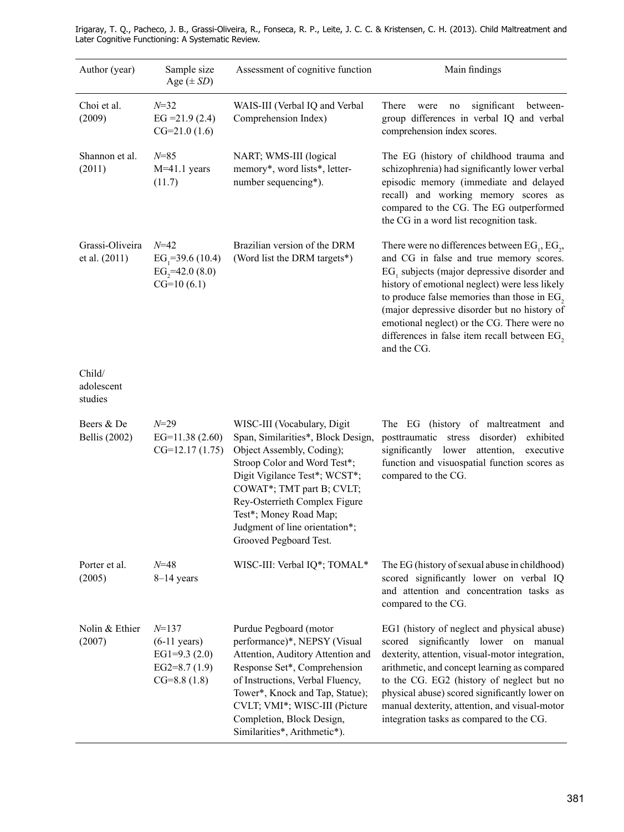| Author (year)                      | Sample size<br>Age $(\pm SD)$                                                              | Assessment of cognitive function                                                                                                                                                                                                                                                                                    | Main findings                                                                                                                                                                                                                                                                                                                                                                                                  |
|------------------------------------|--------------------------------------------------------------------------------------------|---------------------------------------------------------------------------------------------------------------------------------------------------------------------------------------------------------------------------------------------------------------------------------------------------------------------|----------------------------------------------------------------------------------------------------------------------------------------------------------------------------------------------------------------------------------------------------------------------------------------------------------------------------------------------------------------------------------------------------------------|
| Choi et al.<br>(2009)              | $N = 32$<br>$EG = 21.9(2.4)$<br>$CG=21.0(1.6)$                                             | WAIS-III (Verbal IQ and Verbal<br>Comprehension Index)                                                                                                                                                                                                                                                              | There<br>significant<br>between-<br>were<br>no<br>group differences in verbal IQ and verbal<br>comprehension index scores.                                                                                                                                                                                                                                                                                     |
| Shannon et al.<br>(2011)           | $N = 85$<br>$M=41.1$ years<br>(11.7)                                                       | NART, WMS-III (logical<br>memory*, word lists*, letter-<br>number sequencing*).                                                                                                                                                                                                                                     | The EG (history of childhood trauma and<br>schizophrenia) had significantly lower verbal<br>episodic memory (immediate and delayed<br>recall) and working memory scores as<br>compared to the CG. The EG outperformed<br>the CG in a word list recognition task.                                                                                                                                               |
| Grassi-Oliveira<br>et al. (2011)   | $N = 42$<br>EG <sub>1</sub> =39.6 (10.4)<br>EG <sub>2</sub> =42.0 $(8.0)$<br>$CG=10(6.1)$  | Brazilian version of the DRM<br>(Word list the DRM targets*)                                                                                                                                                                                                                                                        | There were no differences between $EG_1, EG_2$ ,<br>and CG in false and true memory scores.<br>$EG1$ subjects (major depressive disorder and<br>history of emotional neglect) were less likely<br>to produce false memories than those in $EG$ ,<br>(major depressive disorder but no history of<br>emotional neglect) or the CG. There were no<br>differences in false item recall between EG,<br>and the CG. |
| Child/<br>adolescent<br>studies    |                                                                                            |                                                                                                                                                                                                                                                                                                                     |                                                                                                                                                                                                                                                                                                                                                                                                                |
| Beers & De<br><b>Bellis</b> (2002) | $N = 29$<br>EG= $11.38(2.60)$<br>$CG=12.17(1.75)$                                          | WISC-III (Vocabulary, Digit<br>Span, Similarities*, Block Design,<br>Object Assembly, Coding);<br>Stroop Color and Word Test*;<br>Digit Vigilance Test*; WCST*;<br>COWAT*; TMT part B; CVLT;<br>Rey-Osterrieth Complex Figure<br>Test*; Money Road Map;<br>Judgment of line orientation*;<br>Grooved Pegboard Test. | The EG (history of maltreatment and<br>posttraumatic stress disorder)<br>exhibited<br>significantly lower<br>attention,<br>executive<br>function and visuospatial function scores as<br>compared to the CG.                                                                                                                                                                                                    |
| Porter et al.<br>(2005)            | $N = 48$<br>$8-14$ years                                                                   | WISC-III: Verbal IQ*; TOMAL*                                                                                                                                                                                                                                                                                        | The EG (history of sexual abuse in childhood)<br>scored significantly lower on verbal IQ<br>and attention and concentration tasks as<br>compared to the CG.                                                                                                                                                                                                                                                    |
| Nolin & Ethier<br>(2007)           | $N = 137$<br>$(6-11 \text{ years})$<br>EG1=9.3 $(2.0)$<br>EG2=8.7 $(1.9)$<br>$CG=8.8(1.8)$ | Purdue Pegboard (motor<br>performance)*, NEPSY (Visual<br>Attention, Auditory Attention and<br>Response Set*, Comprehension<br>of Instructions, Verbal Fluency,<br>Tower*, Knock and Tap, Statue);<br>CVLT; VMI*; WISC-III (Picture<br>Completion, Block Design,<br>Similarities*, Arithmetic*).                    | EG1 (history of neglect and physical abuse)<br>scored significantly lower on manual<br>dexterity, attention, visual-motor integration,<br>arithmetic, and concept learning as compared<br>to the CG. EG2 (history of neglect but no<br>physical abuse) scored significantly lower on<br>manual dexterity, attention, and visual-motor<br>integration tasks as compared to the CG.                              |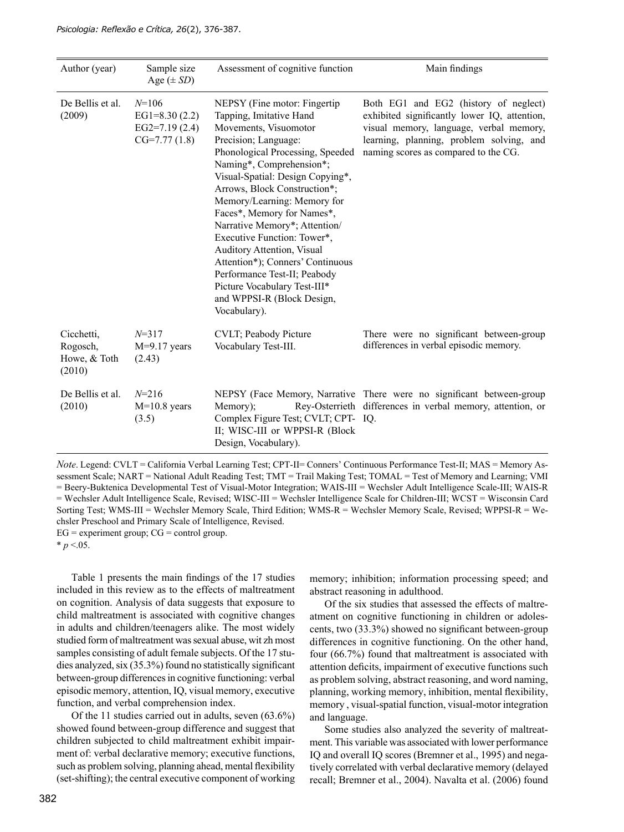| Author (year)                                    | Sample size<br>Age $(\pm SD)$                                     | Assessment of cognitive function                                                                                                                                                                                                                                                                                                                                                                                                                                                                                                                           | Main findings                                                                                                                                                                                                        |
|--------------------------------------------------|-------------------------------------------------------------------|------------------------------------------------------------------------------------------------------------------------------------------------------------------------------------------------------------------------------------------------------------------------------------------------------------------------------------------------------------------------------------------------------------------------------------------------------------------------------------------------------------------------------------------------------------|----------------------------------------------------------------------------------------------------------------------------------------------------------------------------------------------------------------------|
| De Bellis et al.<br>(2009)                       | $N=106$<br>EG1=8.30 $(2.2)$<br>EG2=7.19 $(2.4)$<br>$CG=7.77(1.8)$ | NEPSY (Fine motor: Fingertip)<br>Tapping, Imitative Hand<br>Movements, Visuomotor<br>Precision; Language:<br>Phonological Processing, Speeded<br>Naming*, Comprehension*;<br>Visual-Spatial: Design Copying*,<br>Arrows, Block Construction*;<br>Memory/Learning: Memory for<br>Faces*, Memory for Names*,<br>Narrative Memory*; Attention/<br>Executive Function: Tower*,<br>Auditory Attention, Visual<br>Attention*); Conners' Continuous<br>Performance Test-II; Peabody<br>Picture Vocabulary Test-III*<br>and WPPSI-R (Block Design,<br>Vocabulary). | Both EG1 and EG2 (history of neglect)<br>exhibited significantly lower IQ, attention,<br>visual memory, language, verbal memory,<br>learning, planning, problem solving, and<br>naming scores as compared to the CG. |
| Cicchetti,<br>Rogosch,<br>Howe, & Toth<br>(2010) | $N = 317$<br>$M=9.17$ years<br>(2.43)                             | CVLT; Peabody Picture<br>Vocabulary Test-III.                                                                                                                                                                                                                                                                                                                                                                                                                                                                                                              | There were no significant between-group<br>differences in verbal episodic memory.                                                                                                                                    |
| De Bellis et al.<br>(2010)                       | $N = 216$<br>$M=10.8$ years<br>(3.5)                              | Memory);<br>Complex Figure Test; CVLT; CPT- IQ.<br>II; WISC-III or WPPSI-R (Block<br>Design, Vocabulary).                                                                                                                                                                                                                                                                                                                                                                                                                                                  | NEPSY (Face Memory, Narrative There were no significant between-group<br>Rey-Osterrieth differences in verbal memory, attention, or                                                                                  |

*Note*. Legend: CVLT = California Verbal Learning Test; CPT-II= Conners' Continuous Performance Test-II; MAS = Memory Assessment Scale; NART = National Adult Reading Test; TMT = Trail Making Test; TOMAL = Test of Memory and Learning; VMI = Beery-Buktenica Developmental Test of Visual-Motor Integration; WAIS-III = Wechsler Adult Intelligence Scale-III; WAIS-R = Wechsler Adult Intelligence Scale, Revised; WISC-III = Wechsler Intelligence Scale for Children-III; WCST = Wisconsin Card Sorting Test; WMS-III = Wechsler Memory Scale, Third Edition; WMS-R = Wechsler Memory Scale, Revised; WPPSI-R = Wechsler Preschool and Primary Scale of Intelligence, Revised.  $EG =$  experiment group;  $CG =$  control group.

 $*$  *p* <.05.

Table 1 presents the main findings of the 17 studies included in this review as to the effects of maltreatment on cognition. Analysis of data suggests that exposure to child maltreatment is associated with cognitive changes in adults and children/teenagers alike. The most widely studied form of maltreatment was sexual abuse, wit zh most samples consisting of adult female subjects. Of the 17 studies analyzed, six  $(35.3\%)$  found no statistically significant between-group differences in cognitive functioning: verbal episodic memory, attention, IQ, visual memory, executive function, and verbal comprehension index.

Of the 11 studies carried out in adults, seven (63.6%) showed found between-group difference and suggest that children subjected to child maltreatment exhibit impairment of: verbal declarative memory; executive functions, such as problem solving, planning ahead, mental flexibility (set-shifting); the central executive component of working memory; inhibition; information processing speed; and abstract reasoning in adulthood.

Of the six studies that assessed the effects of maltreatment on cognitive functioning in children or adolescents, two  $(33.3\%)$  showed no significant between-group differences in cognitive functioning. On the other hand, four (66.7%) found that maltreatment is associated with attention deficits, impairment of executive functions such as problem solving, abstract reasoning, and word naming, planning, working memory, inhibition, mental flexibility, memory , visual-spatial function, visual-motor integration and language.

Some studies also analyzed the severity of maltreatment. This variable was associated with lower performance IQ and overall IQ scores (Bremner et al., 1995) and negatively correlated with verbal declarative memory (delayed recall; Bremner et al., 2004). Navalta et al. (2006) found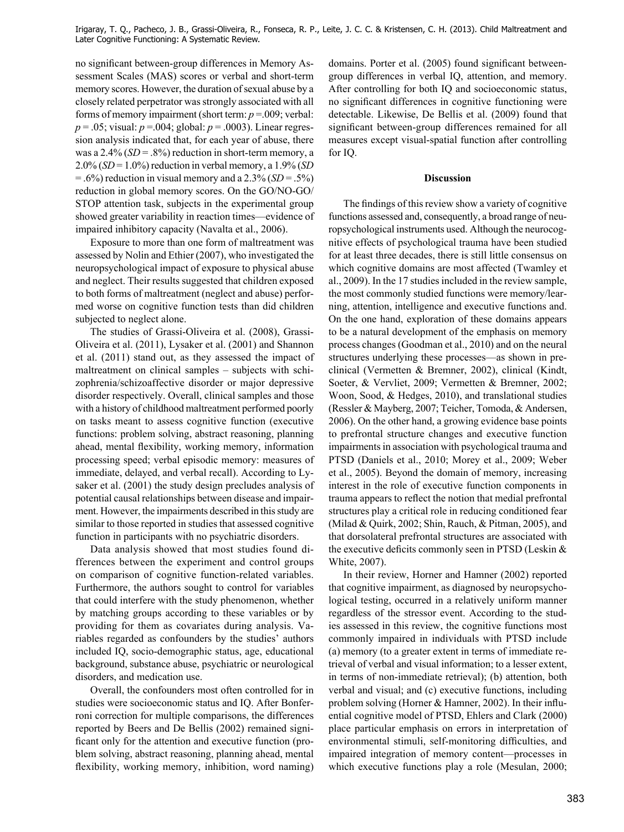no significant between-group differences in Memory Assessment Scales (MAS) scores or verbal and short-term memory scores. However, the duration of sexual abuse by a closely related perpetrator was strongly associated with all forms of memory impairment (short term: *p* =.009; verbal: *p* = .05; visual: *p* =.004; global: *p* = .0003). Linear regression analysis indicated that, for each year of abuse, there was a 2.4% (*SD* = .8%) reduction in short-term memory, a 2.0% (*SD* = 1.0%) reduction in verbal memory, a 1.9% (*SD*   $=$  .6%) reduction in visual memory and a 2.3% (*SD* = .5%) reduction in global memory scores. On the GO/NO-GO/ STOP attention task, subjects in the experimental group showed greater variability in reaction times—evidence of impaired inhibitory capacity (Navalta et al., 2006).

Exposure to more than one form of maltreatment was assessed by Nolin and Ethier (2007), who investigated the neuropsychological impact of exposure to physical abuse and neglect. Their results suggested that children exposed to both forms of maltreatment (neglect and abuse) performed worse on cognitive function tests than did children subjected to neglect alone.

The studies of Grassi-Oliveira et al. (2008), Grassi-Oliveira et al. (2011), Lysaker et al. (2001) and Shannon et al. (2011) stand out, as they assessed the impact of maltreatment on clinical samples – subjects with schizophrenia/schizoaffective disorder or major depressive disorder respectively. Overall, clinical samples and those with a history of childhood maltreatment performed poorly on tasks meant to assess cognitive function (executive functions: problem solving, abstract reasoning, planning ahead, mental flexibility, working memory, information processing speed; verbal episodic memory: measures of immediate, delayed, and verbal recall). According to Lysaker et al. (2001) the study design precludes analysis of potential causal relationships between disease and impairment. However, the impairments described in this study are similar to those reported in studies that assessed cognitive function in participants with no psychiatric disorders.

Data analysis showed that most studies found differences between the experiment and control groups on comparison of cognitive function-related variables. Furthermore, the authors sought to control for variables that could interfere with the study phenomenon, whether by matching groups according to these variables or by providing for them as covariates during analysis. Variables regarded as confounders by the studies' authors included IQ, socio-demographic status, age, educational background, substance abuse, psychiatric or neurological disorders, and medication use.

Overall, the confounders most often controlled for in studies were socioeconomic status and IQ. After Bonferroni correction for multiple comparisons, the differences reported by Beers and De Bellis (2002) remained significant only for the attention and executive function (problem solving, abstract reasoning, planning ahead, mental flexibility, working memory, inhibition, word naming) domains. Porter et al. (2005) found significant betweengroup differences in verbal IQ, attention, and memory. After controlling for both IQ and socioeconomic status, no significant differences in cognitive functioning were detectable. Likewise, De Bellis et al. (2009) found that significant between-group differences remained for all measures except visual-spatial function after controlling for IQ.

#### **Discussion**

The findings of this review show a variety of cognitive functions assessed and, consequently, a broad range of neuropsychological instruments used. Although the neurocognitive effects of psychological trauma have been studied for at least three decades, there is still little consensus on which cognitive domains are most affected (Twamley et al., 2009). In the 17 studies included in the review sample, the most commonly studied functions were memory/learning, attention, intelligence and executive functions and. On the one hand, exploration of these domains appears to be a natural development of the emphasis on memory process changes (Goodman et al., 2010) and on the neural structures underlying these processes—as shown in preclinical (Vermetten & Bremner, 2002), clinical (Kindt, Soeter, & Vervliet, 2009; Vermetten & Bremner, 2002; Woon, Sood, & Hedges, 2010), and translational studies (Ressler & Mayberg, 2007; Teicher, Tomoda, & Andersen, 2006). On the other hand, a growing evidence base points to prefrontal structure changes and executive function impairments in association with psychological trauma and PTSD (Daniels et al., 2010; Morey et al., 2009; Weber et al., 2005). Beyond the domain of memory, increasing interest in the role of executive function components in trauma appears to reflect the notion that medial prefrontal structures play a critical role in reducing conditioned fear (Milad & Quirk, 2002; Shin, Rauch, & Pitman, 2005), and that dorsolateral prefrontal structures are associated with the executive deficits commonly seen in PTSD (Leskin  $&$ White, 2007).

In their review, Horner and Hamner (2002) reported that cognitive impairment, as diagnosed by neuropsychological testing, occurred in a relatively uniform manner regardless of the stressor event. According to the studies assessed in this review, the cognitive functions most commonly impaired in individuals with PTSD include (a) memory (to a greater extent in terms of immediate retrieval of verbal and visual information; to a lesser extent, in terms of non-immediate retrieval); (b) attention, both verbal and visual; and (c) executive functions, including problem solving (Horner & Hamner, 2002). In their influential cognitive model of PTSD, Ehlers and Clark (2000) place particular emphasis on errors in interpretation of environmental stimuli, self-monitoring difficulties, and impaired integration of memory content—processes in which executive functions play a role (Mesulan, 2000;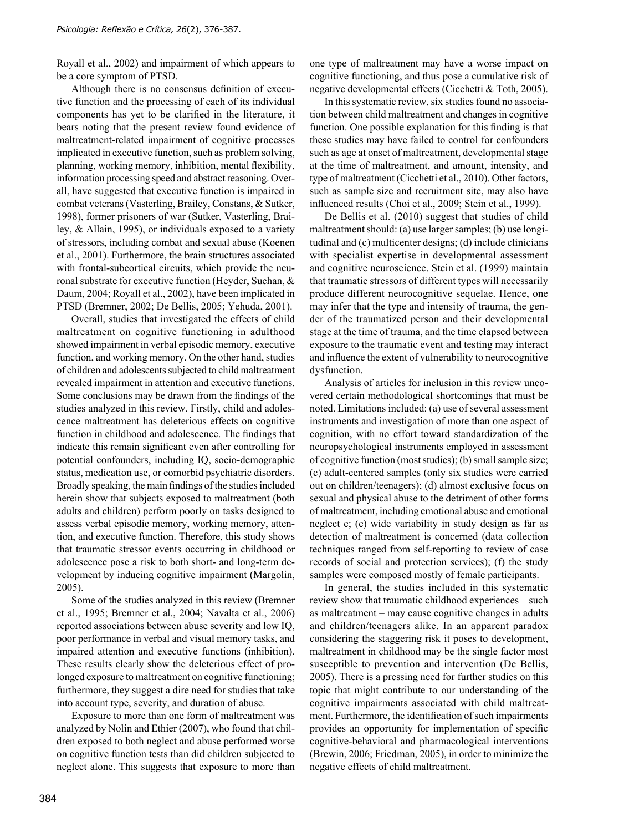Royall et al., 2002) and impairment of which appears to be a core symptom of PTSD.

Although there is no consensus definition of executive function and the processing of each of its individual components has yet to be clarified in the literature, it bears noting that the present review found evidence of maltreatment-related impairment of cognitive processes implicated in executive function, such as problem solving, planning, working memory, inhibition, mental flexibility, information processing speed and abstract reasoning. Overall, have suggested that executive function is impaired in combat veterans (Vasterling, Brailey, Constans, & Sutker, 1998), former prisoners of war (Sutker, Vasterling, Brailey, & Allain, 1995), or individuals exposed to a variety of stressors, including combat and sexual abuse (Koenen et al., 2001). Furthermore, the brain structures associated with frontal-subcortical circuits, which provide the neuronal substrate for executive function (Heyder, Suchan, & Daum, 2004; Royall et al., 2002), have been implicated in PTSD (Bremner, 2002; De Bellis, 2005; Yehuda, 2001).

Overall, studies that investigated the effects of child maltreatment on cognitive functioning in adulthood showed impairment in verbal episodic memory, executive function, and working memory. On the other hand, studies of children and adolescents subjected to child maltreatment revealed impairment in attention and executive functions. Some conclusions may be drawn from the findings of the studies analyzed in this review. Firstly, child and adolescence maltreatment has deleterious effects on cognitive function in childhood and adolescence. The findings that indicate this remain significant even after controlling for potential confounders, including IQ, socio-demographic status, medication use, or comorbid psychiatric disorders. Broadly speaking, the main findings of the studies included herein show that subjects exposed to maltreatment (both adults and children) perform poorly on tasks designed to assess verbal episodic memory, working memory, attention, and executive function. Therefore, this study shows that traumatic stressor events occurring in childhood or adolescence pose a risk to both short- and long-term development by inducing cognitive impairment (Margolin, 2005).

Some of the studies analyzed in this review (Bremner et al., 1995; Bremner et al., 2004; Navalta et al., 2006) reported associations between abuse severity and low IQ, poor performance in verbal and visual memory tasks, and impaired attention and executive functions (inhibition). These results clearly show the deleterious effect of prolonged exposure to maltreatment on cognitive functioning; furthermore, they suggest a dire need for studies that take into account type, severity, and duration of abuse.

Exposure to more than one form of maltreatment was analyzed by Nolin and Ethier (2007), who found that children exposed to both neglect and abuse performed worse on cognitive function tests than did children subjected to neglect alone. This suggests that exposure to more than one type of maltreatment may have a worse impact on cognitive functioning, and thus pose a cumulative risk of negative developmental effects (Cicchetti & Toth, 2005).

In this systematic review, six studies found no association between child maltreatment and changes in cognitive function. One possible explanation for this finding is that these studies may have failed to control for confounders such as age at onset of maltreatment, developmental stage at the time of maltreatment, and amount, intensity, and type of maltreatment (Cicchetti et al., 2010). Other factors, such as sample size and recruitment site, may also have influenced results (Choi et al., 2009; Stein et al., 1999).

De Bellis et al. (2010) suggest that studies of child maltreatment should: (a) use larger samples; (b) use longitudinal and (c) multicenter designs; (d) include clinicians with specialist expertise in developmental assessment and cognitive neuroscience. Stein et al. (1999) maintain that traumatic stressors of different types will necessarily produce different neurocognitive sequelae. Hence, one may infer that the type and intensity of trauma, the gender of the traumatized person and their developmental stage at the time of trauma, and the time elapsed between exposure to the traumatic event and testing may interact and influence the extent of vulnerability to neurocognitive dysfunction.

Analysis of articles for inclusion in this review uncovered certain methodological shortcomings that must be noted. Limitations included: (a) use of several assessment instruments and investigation of more than one aspect of cognition, with no effort toward standardization of the neuropsychological instruments employed in assessment of cognitive function (most studies); (b) small sample size; (c) adult-centered samples (only six studies were carried out on children/teenagers); (d) almost exclusive focus on sexual and physical abuse to the detriment of other forms of maltreatment, including emotional abuse and emotional neglect e; (e) wide variability in study design as far as detection of maltreatment is concerned (data collection techniques ranged from self-reporting to review of case records of social and protection services); (f) the study samples were composed mostly of female participants.

In general, the studies included in this systematic review show that traumatic childhood experiences – such as maltreatment – may cause cognitive changes in adults and children/teenagers alike. In an apparent paradox considering the staggering risk it poses to development, maltreatment in childhood may be the single factor most susceptible to prevention and intervention (De Bellis, 2005). There is a pressing need for further studies on this topic that might contribute to our understanding of the cognitive impairments associated with child maltreatment. Furthermore, the identification of such impairments provides an opportunity for implementation of specific cognitive-behavioral and pharmacological interventions (Brewin, 2006; Friedman, 2005), in order to minimize the negative effects of child maltreatment.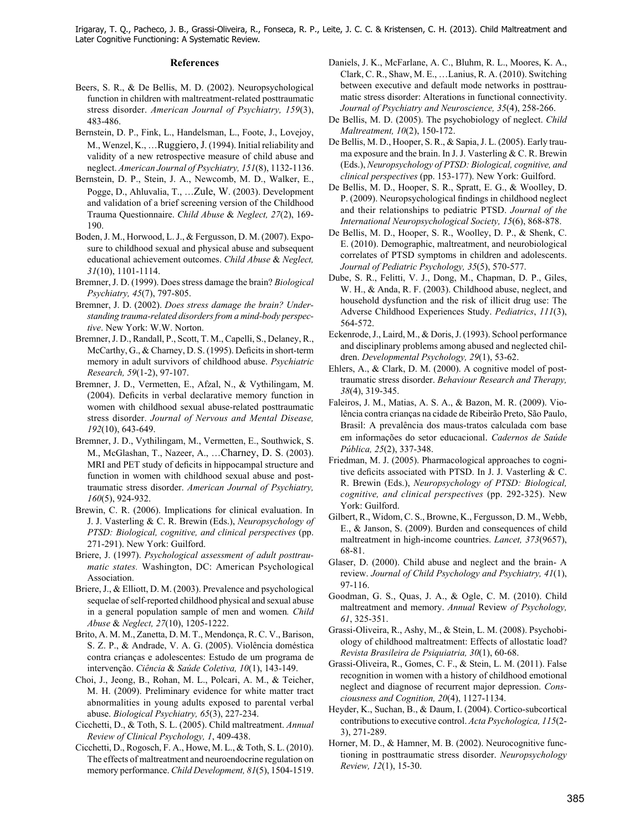#### **References**

- Beers, S. R., & De Bellis, M. D. (2002). Neuropsychological function in children with maltreatment-related posttraumatic stress disorder. *American Journal of Psychiatry, 159*(3), 483-486.
- Bernstein, D. P., Fink, L., Handelsman, L., Foote, J., Lovejoy, M., Wenzel, K., …Ruggiero, J. (1994). Initial reliability and validity of a new retrospective measure of child abuse and neglect. *American Journal of Psychiatry, 151*(8), 1132-1136.
- Bernstein, D. P., Stein, J. A., Newcomb, M. D., Walker, E., Pogge, D., Ahluvalia, T., …Zule, W. (2003). Development and validation of a brief screening version of the Childhood Trauma Questionnaire. *Child Abuse* & *Neglect, 27*(2), 169- 190.
- Boden, J. M., Horwood, L. J., & Fergusson, D. M. (2007). Exposure to childhood sexual and physical abuse and subsequent educational achievement outcomes. *Child Abuse* & *Neglect, 31*(10), 1101-1114.
- Bremner, J. D. (1999). Does stress damage the brain? *Biological Psychiatry, 45*(7), 797-805.
- Bremner, J. D. (2002). *Does stress damage the brain? Understanding trauma-related disorders from a mind-body perspective*. New York: W.W. Norton.
- Bremner, J. D., Randall, P., Scott, T. M., Capelli, S., Delaney, R., McCarthy, G., & Charney, D. S. (1995). Deficits in short-term memory in adult survivors of childhood abuse. *Psychiatric Research, 59*(1-2), 97-107.
- Bremner, J. D., Vermetten, E., Afzal, N., & Vythilingam, M. (2004). Deficits in verbal declarative memory function in women with childhood sexual abuse-related posttraumatic stress disorder. *Journal of Nervous and Mental Disease, 192*(10), 643-649.
- Bremner, J. D., Vythilingam, M., Vermetten, E., Southwick, S. M., McGlashan, T., Nazeer, A., …Charney, D. S. (2003). MRI and PET study of deficits in hippocampal structure and function in women with childhood sexual abuse and posttraumatic stress disorder. *American Journal of Psychiatry, 160*(5), 924-932.
- Brewin, C. R. (2006). Implications for clinical evaluation. In J. J. Vasterling & C. R. Brewin (Eds.), *Neuropsychology of PTSD: Biological, cognitive, and clinical perspectives* (pp. 271-291). New York: Guilford.
- Briere, J. (1997). *Psychological assessment of adult posttraumatic states.* Washington, DC: American Psychological Association.
- Briere, J., & Elliott, D. M. (2003). Prevalence and psychological sequelae of self-reported childhood physical and sexual abuse in a general population sample of men and women*. Child Abuse* & *Neglect, 27*(10), 1205-1222.
- Brito, A. M. M., Zanetta, D. M. T., Mendonça, R. C. V., Barison, S. Z. P., & Andrade, V. A. G. (2005). Violência doméstica contra crianças e adolescentes: Estudo de um programa de intervenção. *Ciência* & *Saúde Coletiva, 10*(1), 143-149.
- Choi, J. , Jeong, B., Rohan, M. L., Polcari, A. M., & Teicher, M. H. (2009). Preliminary evidence for white matter tract abnormalities in young adults exposed to parental verbal abuse. *Biological Psychiatry, 65*(3), 227-234.
- Cicchetti, D., & Toth, S. L. (2005). Child maltreatment. *Annual Review of Clinical Psychology, 1*, 409-438.
- Cicchetti, D., Rogosch, F. A., Howe, M. L., & Toth, S. L. (2010). The effects of maltreatment and neuroendocrine regulation on memory performance. *Child Development, 81*(5), 1504-1519.
- Daniels, J. K., McFarlane, A. C., Bluhm, R. L., Moores, K. A., Clark, C. R., Shaw, M. E., …Lanius, R. A. (2010). Switching between executive and default mode networks in posttraumatic stress disorder: Alterations in functional connectivity. *Journal of Psychiatry and Neuroscience, 35*(4), 258-266.
- De Bellis, M. D. (2005). The psychobiology of neglect. *Child Maltreatment, 10*(2), 150-172.
- De Bellis, M. D., Hooper, S. R., & Sapia, J. L. (2005). Early trauma exposure and the brain. In J. J. Vasterling & C. R. Brewin (Eds.), *Neuropsychology of PTSD: Biological, cognitive, and clinical perspectives* (pp. 153-177). New York: Guilford.
- De Bellis, M. D., Hooper, S. R., Spratt, E. G., & Woolley, D. P. (2009). Neuropsychological findings in childhood neglect and their relationships to pediatric PTSD. *Journal of the International Neuropsychological Society, 15*(6), 868-878.
- De Bellis, M. D., Hooper, S. R., Woolley, D. P., & Shenk, C. E. (2010). Demographic, maltreatment, and neurobiological correlates of PTSD symptoms in children and adolescents. *Journal of Pediatric Psychology, 35*(5), 570-577.
- Dube, S. R., Felitti, V. J., Dong, M., Chapman, D. P., Giles, W. H., & Anda, R. F. (2003). Childhood abuse, neglect, and household dysfunction and the risk of illicit drug use: The Adverse Childhood Experiences Study. *Pediatrics*, *111*(3), 564-572.
- Eckenrode, J., Laird, M., & Doris, J. (1993). School performance and disciplinary problems among abused and neglected children. *Developmental Psychology, 29*(1), 53-62.
- Ehlers, A., & Clark, D. M. (2000). A cognitive model of posttraumatic stress disorder. *Behaviour Research and Therapy, 38*(4), 319-345.
- Faleiros, J. M., Matias, A. S. A., & Bazon, M. R. (2009). Violência contra crianças na cidade de Ribeirão Preto, São Paulo, Brasil: A prevalência dos maus-tratos calculada com base em informações do setor educacional. *Cadernos de Saúde Pública, 25*(2), 337-348.
- Friedman, M. J. (2005). Pharmacological approaches to cognitive deficits associated with PTSD. In J. J. Vasterling  $&C$ . R. Brewin (Eds.), *Neuropsychology of PTSD: Biological, cognitive, and clinical perspectives* (pp. 292-325). New York: Guilford.
- Gilbert, R., Widom, C. S., Browne, K., Fergusson, D. M., Webb, E., & Janson, S. (2009). Burden and consequences of child maltreatment in high-income countries. *Lancet, 373*(9657), 68-81.
- Glaser, D. (2000) . Child abuse and neglect and the brain- A review. *Journal of Child Psychology and Psychiatry, 41*(1), 97-116.
- Goodman, G. S., Quas, J. A., & Ogle, C. M. (2010). Child maltreatment and memory. *Annual* Review *of Psychology, 61*, 325-351.
- Grassi-Oliveira, R., Ashy, M., & Stein, L. M. (2008). Psychobiology of childhood maltreatment: Effects of allostatic load? *Revista Brasileira de Psiquiatria, 30*(1), 60-68.
- Grassi-Oliveira, R., Gomes, C. F., & Stein, L. M. (2011). False recognition in women with a history of childhood emotional neglect and diagnose of recurrent major depression. *Consciousness and Cognition, 20*(4), 1127-1134.
- Heyder, K., Suchan, B., & Daum, I. (2004). Cortico-subcortical contributions to executive control. *Acta Psychologica, 115*(2- 3), 271-289.
- Horner, M. D., & Hamner, M. B. (2002). Neurocognitive functioning in posttraumatic stress disorder. *Neuropsychology Review, 12*(1), 15-30.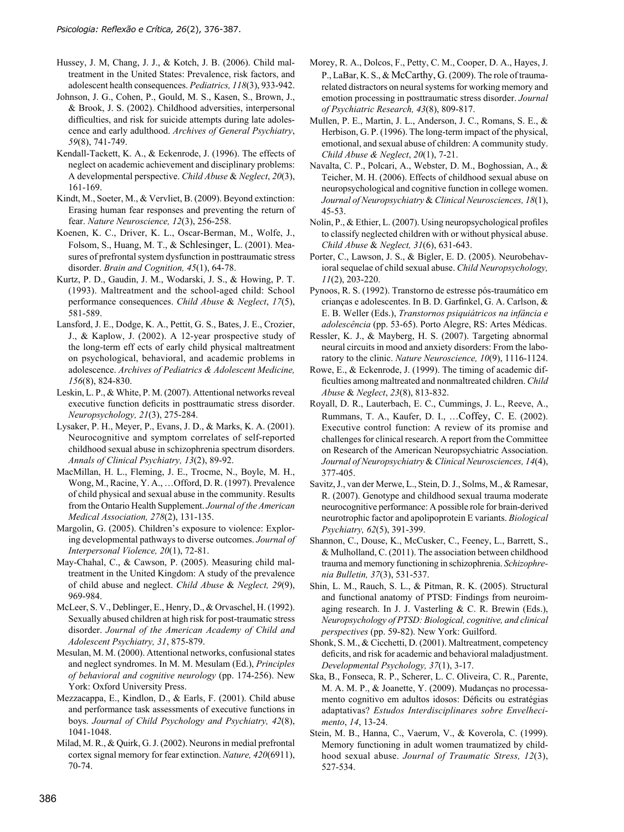- Hussey, J. M, Chang, J. J., & Kotch, J. B. (2006). Child maltreatment in the United States: Prevalence, risk factors, and adolescent health consequences. *Pediatrics, 118*(3), 933-942.
- Johnson, J. G., Cohen, P., Gould, M. S., Kasen, S., Brown, J., & Brook, J. S. (2002). Childhood adversities, interpersonal difficulties, and risk for suicide attempts during late adolescence and early adulthood. *Archives of General Psychiatry*, *59*(8), 741-749.
- Kendall-Tackett, K. A., & Eckenrode, J. (1996). The effects of neglect on academic achievement and disciplinary problems: A developmental perspective. *Child Abuse* & *Neglect*, *20*(3), 161-169.
- Kindt, M., Soeter, M., & Vervliet, B. (2009). Beyond extinction: Erasing human fear responses and preventing the return of fear. *Nature Neuroscience, 12*(3), 256-258.
- Koenen, K. C., Driver, K. L., Oscar-Berman, M., Wolfe, J., Folsom, S., Huang, M. T., & Schlesinger, L. (2001). Measures of prefrontal system dysfunction in posttraumatic stress disorder. *Brain and Cognition, 45*(1), 64-78.
- Kurtz, P. D., Gaudin, J. M., Wodarski, J. S., & Howing, P. T. (1993). Maltreatment and the school-aged child: School performance consequences. *Child Abuse* & *Neglect*, *17*(5), 581-589.
- Lansford, J. E., Dodge, K. A., Pettit, G. S., Bates, J. E., Crozier, J., & Kaplow, J. (2002). A 12-year prospective study of the long-term eff ects of early child physical maltreatment on psychological, behavioral, and academic problems in adolescence. *Archives of Pediatrics & Adolescent Medicine, 156*(8), 824-830.
- Leskin, L. P., & White, P. M. (2007). Attentional networks reveal executive function deficits in posttraumatic stress disorder. *Neuropsychology, 21*(3), 275-284.
- Lysaker, P. H., Meyer, P., Evans, J. D., & Marks, K. A. (2001). Neurocognitive and symptom correlates of self-reported childhood sexual abuse in schizophrenia spectrum disorders. *Annals of Clinical Psychiatry, 13*(2), 89-92.
- MacMillan, H. L., Fleming, J. E., Trocme, N., Boyle, M. H., Wong, M., Racine, Y. A., …Offord, D. R. (1997). Prevalence of child physical and sexual abuse in the community. Results from the Ontario Health Supplement. *Journal of the American Medical Association, 278*(2), 131-135.
- Margolin, G. (2005). Children's exposure to violence: Exploring developmental pathways to diverse outcomes. *Journal of Interpersonal Violence, 20*(1), 72-81.
- May-Chahal, C., & Cawson, P. (2005). Measuring child maltreatment in the United Kingdom: A study of the prevalence of child abuse and neglect. *Child Abuse* & *Neglect, 29*(9), 969-984.
- McLeer, S. V., Deblinger, E., Henry, D., & Orvaschel, H. (1992). Sexually abused children at high risk for post-traumatic stress disorder. *Journal of the American Academy of Child and Adolescent Psychiatry, 31*, 875-879.
- Mesulan, M. M. (2000). Attentional networks, confusional states and neglect syndromes. In M. M. Mesulam (Ed.), *Principles of behavioral and cognitive neurology* (pp. 174-256). New York: Oxford University Press.
- Mezzacappa, E., Kindlon, D., & Earls, F. (2001). Child abuse and performance task assessments of executive functions in boys. *Journal of Child Psychology and Psychiatry, 42*(8), 1041-1048.
- Milad, M. R., & Quirk, G. J. (2002). Neurons in medial prefrontal cortex signal memory for fear extinction. *Nature, 420*(6911), 70-74.
- Morey, R. A., Dolcos, F., Petty, C. M., Cooper, D. A., Hayes, J. P., LaBar, K. S., & McCarthy, G. (2009). The role of traumarelated distractors on neural systems for working memory and emotion processing in posttraumatic stress disorder. *Journal of Psychiatric Research, 43*(8), 809-817.
- Mullen, P. E., Martin, J. L., Anderson, J. C., Romans, S. E., & Herbison, G. P. (1996). The long-term impact of the physical, emotional, and sexual abuse of children: A community study. *Child Abuse & Neglect*, *20*(1), 7-21.
- Navalta, C. P., Polcari, A., Webster, D. M., Boghossian, A., & Teicher, M. H. (2006). Effects of childhood sexual abuse on neuropsychological and cognitive function in college women. *Journal of Neuropsychiatry* & *Clinical Neurosciences, 18*(1), 45-53.
- Nolin, P., & Ethier, L. (2007). Using neuropsychological profiles to classify neglected children with or without physical abuse. *Child Abuse* & *Neglect, 31*(6), 631-643.
- Porter, C., Lawson, J. S., & Bigler, E. D. (2005). Neurobehavioral sequelae of child sexual abuse. *Child Neuropsychology, 11*(2), 203-220.
- Pynoos, R. S. (1992). Transtorno de estresse pós-traumático em crianças e adolescentes. In B. D. Garfinkel, G. A. Carlson, & E. B. Weller (Eds.), *Transtornos psiquiátricos na infância e adolescência* (pp. 53-65). Porto Alegre, RS: Artes Médicas.
- Ressler, K. J., & Mayberg, H. S. (2007). Targeting abnormal neural circuits in mood and anxiety disorders: From the laboratory to the clinic. *Nature Neuroscience, 10*(9), 1116-1124.
- Rowe, E., & Eckenrode, J. (1999). The timing of academic difficulties among maltreated and nonmaltreated children. *Child Abuse* & *Neglect*, *23*(8), 813-832.
- Royall, D. R., Lauterbach, E. C., Cummings, J. L., Reeve, A., Rummans, T. A., Kaufer, D. I., …Coffey, C. E. (2002). Executive control function: A review of its promise and challenges for clinical research. A report from the Committee on Research of the American Neuropsychiatric Association. *Journal of Neuropsychiatry* & *Clinical Neurosciences, 14*(4), 377-405.
- Savitz, J., van der Merwe, L., Stein, D. J., Solms, M., & Ramesar, R. (2007). Genotype and childhood sexual trauma moderate neurocognitive performance: A possible role for brain-derived neurotrophic factor and apolipoprotein E variants. *Biological Psychiatry, 62*(5), 391-399.
- Shannon, C., Douse, K., McCusker, C., Feeney, L., Barrett, S., & Mulholland, C. (2011). The association between childhood trauma and memory functioning in schizophrenia. *Schizophrenia Bulletin, 37*(3), 531-537.
- Shin, L. M., Rauch, S. L., & Pitman, R. K. (2005). Structural and functional anatomy of PTSD: Findings from neuroimaging research. In J. J. Vasterling & C. R. Brewin (Eds.), *Neuropsychology of PTSD: Biological, cognitive, and clinical perspectives* (pp. 59-82). New York: Guilford.
- Shonk, S. M., & Cicchetti, D. (2001). Maltreatment, competency deficits, and risk for academic and behavioral maladjustment. *Developmental Psychology, 37*(1), 3-17.
- Ska, B., Fonseca, R. P., Scherer, L. C. Oliveira, C. R., Parente, M. A. M. P., & Joanette, Y. (2009). Mudanças no processamento cognitivo em adultos idosos: Déficits ou estratégias adaptativas? *Estudos Interdisciplinares sobre Envelhecimento*, *14*, 13-24.
- Stein, M. B., Hanna, C., Vaerum, V., & Koverola, C. (1999). Memory functioning in adult women traumatized by childhood sexual abuse. *Journal of Traumatic Stress, 12*(3), 527-534.